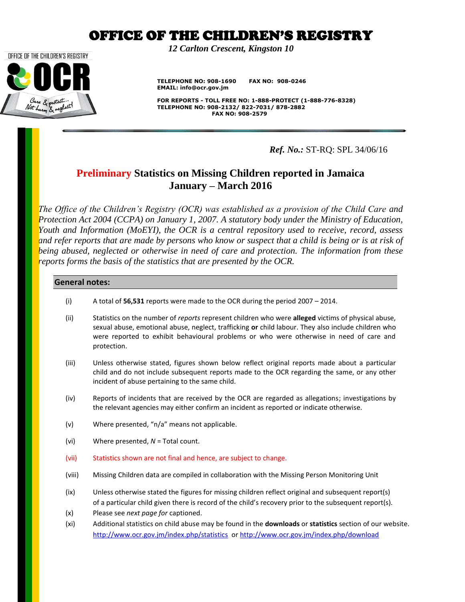*12 Carlton Crescent, Kingston 10*

 **TELEPHONE NO: 908-1690 FAX NO: 908-0246 EMAIL: info@ocr.gov.jm**

 **FOR REPORTS - TOLL FREE NO: 1-888-PROTECT (1-888-776-8328) TELEPHONE NO: 908-2132/ 822-7031/ 878-2882 FAX NO: 908-2579**

*Ref. No.:* ST-RQ: SPL 34/06/16

### **Preliminary Statistics on Missing Children reported in Jamaica January – March 2016**

*The Office of the Children's Registry (OCR) was established as a provision of the Child Care and Protection Act 2004 (CCPA) on January 1, 2007. A statutory body under the Ministry of Education, Youth and Information (MoEYI), the OCR is a central repository used to receive, record, assess and refer reports that are made by persons who know or suspect that a child is being or is at risk of being abused, neglected or otherwise in need of care and protection. The information from these reports forms the basis of the statistics that are presented by the OCR.* 

#### **General notes:**

OFFICE OF THE CHILDREN'S REGISTRY

- (i) A total of **56,531** reports were made to the OCR during the period 2007 2014.
- (ii) Statistics on the number of *reports* represent children who were **alleged** victims of physical abuse, sexual abuse, emotional abuse, neglect, trafficking **or** child labour. They also include children who were reported to exhibit behavioural problems or who were otherwise in need of care and protection.
- (iii) Unless otherwise stated, figures shown below reflect original reports made about a particular child and do not include subsequent reports made to the OCR regarding the same, or any other incident of abuse pertaining to the same child.
- (iv) Reports of incidents that are received by the OCR are regarded as allegations; investigations by the relevant agencies may either confirm an incident as reported or indicate otherwise.
- (v) Where presented, "n/a" means not applicable.
- (vi) Where presented, *N* = Total count.
- (vii) Statistics shown are not final and hence, are subject to change.
- (viii) Missing Children data are compiled in collaboration with the Missing Person Monitoring Unit
- (ix) Unless otherwise stated the figures for missing children reflect original and subsequent report(s) of a particular child given there is record of the child's recovery prior to the subsequent report(s).
- (x) Please see *next page for* captioned.
- (xi) Additional statistics on child abuse may be found in the **downloads** or **statistics** section of our website. <http://www.ocr.gov.jm/index.php/statistics>or<http://www.ocr.gov.jm/index.php/download>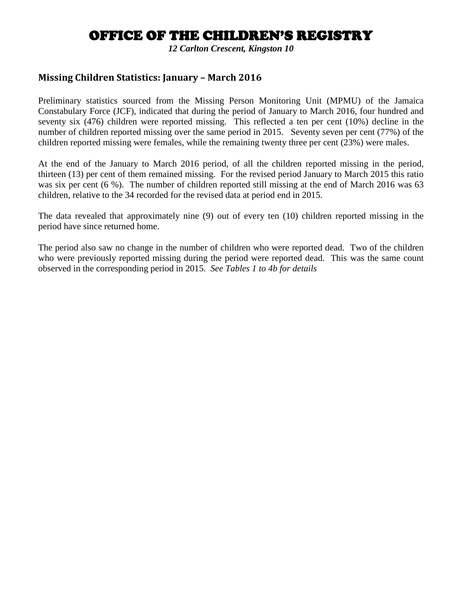*12 Carlton Crescent, Kingston 10*

### **Missing Children Statistics: January – March 2016**

Preliminary statistics sourced from the Missing Person Monitoring Unit (MPMU) of the Jamaica Constabulary Force (JCF), indicated that during the period of January to March 2016, four hundred and seventy six (476) children were reported missing. This reflected a ten per cent (10%) decline in the number of children reported missing over the same period in 2015. Seventy seven per cent (77%) of the children reported missing were females, while the remaining twenty three per cent (23%) were males.

At the end of the January to March 2016 period, of all the children reported missing in the period, thirteen (13) per cent of them remained missing. For the revised period January to March 2015 this ratio was six per cent (6 %). The number of children reported still missing at the end of March 2016 was 63 children, relative to the 34 recorded for the revised data at period end in 2015.

The data revealed that approximately nine (9) out of every ten (10) children reported missing in the period have since returned home.

The period also saw no change in the number of children who were reported dead. Two of the children who were previously reported missing during the period were reported dead. This was the same count observed in the corresponding period in 2015. *See Tables 1 to 4b for details*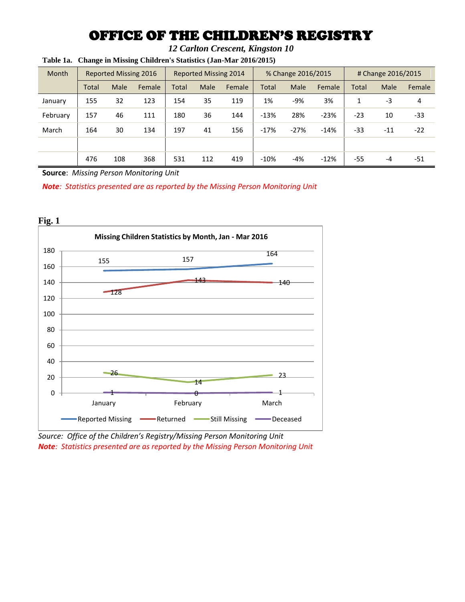*12 Carlton Crescent, Kingston 10*

| <b>Month</b> |       | <b>Reported Missing 2016</b> |        | <b>Reported Missing 2014</b> |      | % Change 2016/2015 |              | # Change 2016/2015 |               |       |       |        |
|--------------|-------|------------------------------|--------|------------------------------|------|--------------------|--------------|--------------------|---------------|-------|-------|--------|
|              | Total | Male                         | Female | <b>Total</b>                 | Male | Female             | <b>Total</b> | Male               | <b>Female</b> | Total | Male  | Female |
| January      | 155   | 32                           | 123    | 154                          | 35   | 119                | 1%           | $-9%$              | 3%            | 1     | $-3$  | 4      |
| February     | 157   | 46                           | 111    | 180                          | 36   | 144                | $-13%$       | 28%                | $-23%$        | $-23$ | 10    | -33    |
| March        | 164   | 30                           | 134    | 197                          | 41   | 156                | $-17%$       | $-27%$             | $-14%$        | -33   | $-11$ | $-22$  |
|              |       |                              |        |                              |      |                    |              |                    |               |       |       |        |
|              | 476   | 108                          | 368    | 531                          | 112  | 419                | $-10%$       | $-4%$              | $-12%$        | $-55$ | $-4$  | -51    |

**Table 1a. Change in Missing Children's Statistics (Jan-Mar 2016/2015)**

**Source**: *Missing Person Monitoring Unit*

*Note: Statistics presented are as reported by the Missing Person Monitoring Unit*



*Source: Office of the Children's Registry/Missing Person Monitoring Unit Note: Statistics presented are as reported by the Missing Person Monitoring Unit*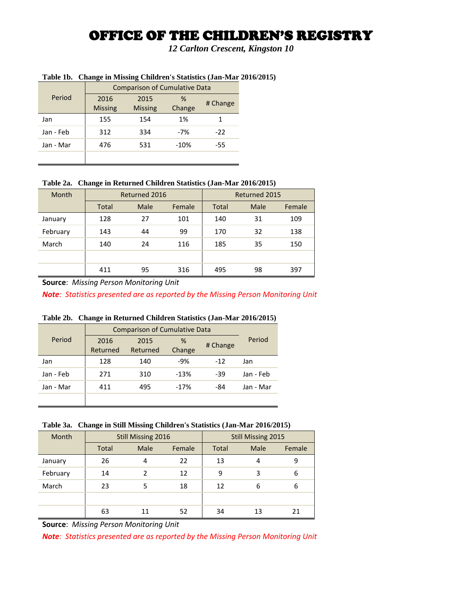*12 Carlton Crescent, Kingston 10*

|           | <b>Comparison of Cumulative Data</b> |                |        |          |  |  |  |
|-----------|--------------------------------------|----------------|--------|----------|--|--|--|
| Period    | 2016                                 | 2015           | %      | # Change |  |  |  |
|           | <b>Missing</b>                       | <b>Missing</b> | Change |          |  |  |  |
| Jan       | 155                                  | 154            | 1%     |          |  |  |  |
| Jan - Feb | 312                                  | 334            | $-7%$  | $-22$    |  |  |  |
| Jan - Mar | 476                                  | 531            | $-10%$ | -55      |  |  |  |
|           |                                      |                |        |          |  |  |  |

#### **Table 1b. Change in Missing Children's Statistics (Jan-Mar 2016/2015)**

#### **Table 2a. Change in Returned Children Statistics (Jan-Mar 2016/2015)**

| <b>Month</b> | Returned 2016 |      |        | Returned 2015 |      |        |
|--------------|---------------|------|--------|---------------|------|--------|
|              | <b>Total</b>  | Male | Female | <b>Total</b>  | Male | Female |
| January      | 128           | 27   | 101    | 140           | 31   | 109    |
| February     | 143           | 44   | 99     | 170           | 32   | 138    |
| March        | 140           | 24   | 116    | 185           | 35   | 150    |
|              |               |      |        |               |      |        |
|              | 411           | 95   | 316    | 495           | 98   | 397    |

**Source**: *Missing Person Monitoring Unit*

*Note: Statistics presented are as reported by the Missing Person Monitoring Unit*

#### **Table 2b. Change in Returned Children Statistics (Jan-Mar 2016/2015)**

|           | <b>Comparison of Cumulative Data</b> |          |          |        |           |  |
|-----------|--------------------------------------|----------|----------|--------|-----------|--|
| Period    | %<br>2016<br>2015                    |          | # Change | Period |           |  |
|           | Returned                             | Returned | Change   |        |           |  |
| Jan       | 128                                  | 140      | $-9%$    | $-12$  | Jan       |  |
| Jan - Feb | 271                                  | 310      | $-13%$   | $-39$  | Jan - Feb |  |
| Jan - Mar | 411                                  | 495      | $-17%$   | -84    | Jan - Mar |  |
|           |                                      |          |          |        |           |  |

#### **Table 3a. Change in Still Missing Children's Statistics (Jan-Mar 2016/2015)**

| Month    | <b>Still Missing 2016</b> |      |        | Still Missing 2015 |      |        |
|----------|---------------------------|------|--------|--------------------|------|--------|
|          | <b>Total</b>              | Male | Female | Total              | Male | Female |
| January  | 26                        | 4    | 22     | 13                 | 4    | 9      |
| February | 14                        |      | 12     | 9                  | 3    | 6      |
| March    | 23                        | 5    | 18     | 12                 | 6    | 6      |
|          |                           |      |        |                    |      |        |
|          | 63                        | 11   | 52     | 34                 | 13   | 21     |

**Source**: *Missing Person Monitoring Unit*

*Note: Statistics presented are as reported by the Missing Person Monitoring Unit*